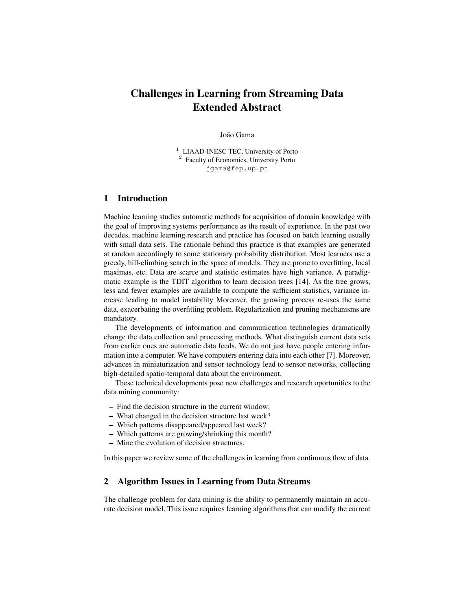# Challenges in Learning from Streaming Data Extended Abstract

### João Gama

<sup>1</sup> LIAAD-INESC TEC, University of Porto <sup>2</sup> Faculty of Economics, University Porto jgama@fep.up.pt

#### 1 Introduction

Machine learning studies automatic methods for acquisition of domain knowledge with the goal of improving systems performance as the result of experience. In the past two decades, machine learning research and practice has focused on batch learning usually with small data sets. The rationale behind this practice is that examples are generated at random accordingly to some stationary probability distribution. Most learners use a greedy, hill-climbing search in the space of models. They are prone to overfitting, local maximas, etc. Data are scarce and statistic estimates have high variance. A paradigmatic example is the TDIT algorithm to learn decision trees [14]. As the tree grows, less and fewer examples are available to compute the sufficient statistics, variance increase leading to model instability Moreover, the growing process re-uses the same data, exacerbating the overfitting problem. Regularization and pruning mechanisms are mandatory.

The developments of information and communication technologies dramatically change the data collection and processing methods. What distinguish current data sets from earlier ones are automatic data feeds. We do not just have people entering information into a computer. We have computers entering data into each other [7]. Moreover, advances in miniaturization and sensor technology lead to sensor networks, collecting high-detailed spatio-temporal data about the environment.

These technical developments pose new challenges and research oportunities to the data mining community:

- Find the decision structure in the current window;
- What changed in the decision structure last week?
- Which patterns disappeared/appeared last week?
- Which patterns are growing/shrinking this month?
- Mine the evolution of decision structures.

In this paper we review some of the challenges in learning from continuous flow of data.

## 2 Algorithm Issues in Learning from Data Streams

The challenge problem for data mining is the ability to permanently maintain an accurate decision model. This issue requires learning algorithms that can modify the current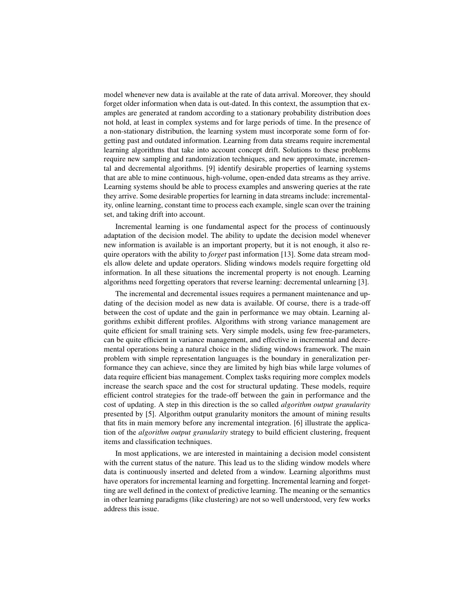model whenever new data is available at the rate of data arrival. Moreover, they should forget older information when data is out-dated. In this context, the assumption that examples are generated at random according to a stationary probability distribution does not hold, at least in complex systems and for large periods of time. In the presence of a non-stationary distribution, the learning system must incorporate some form of forgetting past and outdated information. Learning from data streams require incremental learning algorithms that take into account concept drift. Solutions to these problems require new sampling and randomization techniques, and new approximate, incremental and decremental algorithms. [9] identify desirable properties of learning systems that are able to mine continuous, high-volume, open-ended data streams as they arrive. Learning systems should be able to process examples and answering queries at the rate they arrive. Some desirable properties for learning in data streams include: incrementality, online learning, constant time to process each example, single scan over the training set, and taking drift into account.

Incremental learning is one fundamental aspect for the process of continuously adaptation of the decision model. The ability to update the decision model whenever new information is available is an important property, but it is not enough, it also require operators with the ability to *forget* past information [13]. Some data stream models allow delete and update operators. Sliding windows models require forgetting old information. In all these situations the incremental property is not enough. Learning algorithms need forgetting operators that reverse learning: decremental unlearning [3].

The incremental and decremental issues requires a permanent maintenance and updating of the decision model as new data is available. Of course, there is a trade-off between the cost of update and the gain in performance we may obtain. Learning algorithms exhibit different profiles. Algorithms with strong variance management are quite efficient for small training sets. Very simple models, using few free-parameters, can be quite efficient in variance management, and effective in incremental and decremental operations being a natural choice in the sliding windows framework. The main problem with simple representation languages is the boundary in generalization performance they can achieve, since they are limited by high bias while large volumes of data require efficient bias management. Complex tasks requiring more complex models increase the search space and the cost for structural updating. These models, require efficient control strategies for the trade-off between the gain in performance and the cost of updating. A step in this direction is the so called *algorithm output granularity* presented by [5]. Algorithm output granularity monitors the amount of mining results that fits in main memory before any incremental integration. [6] illustrate the application of the *algorithm output granularity* strategy to build efficient clustering, frequent items and classification techniques.

In most applications, we are interested in maintaining a decision model consistent with the current status of the nature. This lead us to the sliding window models where data is continuously inserted and deleted from a window. Learning algorithms must have operators for incremental learning and forgetting. Incremental learning and forgetting are well defined in the context of predictive learning. The meaning or the semantics in other learning paradigms (like clustering) are not so well understood, very few works address this issue.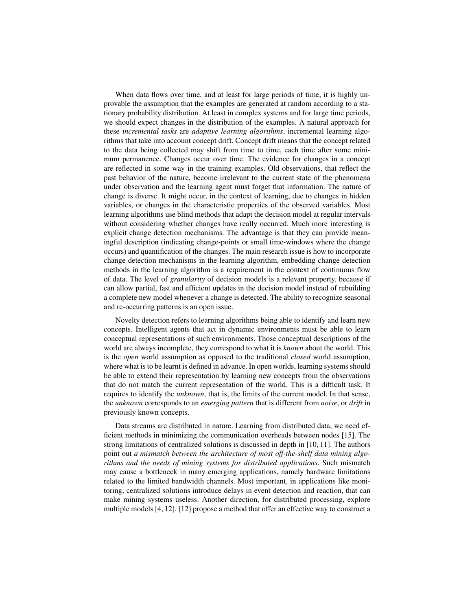When data flows over time, and at least for large periods of time, it is highly unprovable the assumption that the examples are generated at random according to a stationary probability distribution. At least in complex systems and for large time periods, we should expect changes in the distribution of the examples. A natural approach for these *incremental tasks* are *adaptive learning algorithms*, incremental learning algorithms that take into account concept drift. Concept drift means that the concept related to the data being collected may shift from time to time, each time after some minimum permanence. Changes occur over time. The evidence for changes in a concept are reflected in some way in the training examples. Old observations, that reflect the past behavior of the nature, become irrelevant to the current state of the phenomena under observation and the learning agent must forget that information. The nature of change is diverse. It might occur, in the context of learning, due to changes in hidden variables, or changes in the characteristic properties of the observed variables. Most learning algorithms use blind methods that adapt the decision model at regular intervals without considering whether changes have really occurred. Much more interesting is explicit change detection mechanisms. The advantage is that they can provide meaningful description (indicating change-points or small time-windows where the change occurs) and quantification of the changes. The main research issue is how to incorporate change detection mechanisms in the learning algorithm, embedding change detection methods in the learning algorithm is a requirement in the context of continuous flow of data. The level of *granularity* of decision models is a relevant property, because if can allow partial, fast and efficient updates in the decision model instead of rebuilding a complete new model whenever a change is detected. The ability to recognize seasonal and re-occurring patterns is an open issue.

Novelty detection refers to learning algorithms being able to identify and learn new concepts. Intelligent agents that act in dynamic environments must be able to learn conceptual representations of such environments. Those conceptual descriptions of the world are always incomplete, they correspond to what it is *known* about the world. This is the *open* world assumption as opposed to the traditional *closed* world assumption, where what is to be learnt is defined in advance. In open worlds, learning systems should be able to extend their representation by learning new concepts from the observations that do not match the current representation of the world. This is a difficult task. It requires to identify the *unknown*, that is, the limits of the current model. In that sense, the *unknown* corresponds to an *emerging pattern* that is different from *noise*, or *drift* in previously known concepts.

Data streams are distributed in nature. Learning from distributed data, we need efficient methods in minimizing the communication overheads between nodes [15]. The strong limitations of centralized solutions is discussed in depth in [10, 11]. The authors point out *a mismatch between the architecture of most off-the-shelf data mining algorithms and the needs of mining systems for distributed applications*. Such mismatch may cause a bottleneck in many emerging applications, namely hardware limitations related to the limited bandwidth channels. Most important, in applications like monitoring, centralized solutions introduce delays in event detection and reaction, that can make mining systems useless. Another direction, for distributed processing, explore multiple models [4, 12]. [12] propose a method that offer an effective way to construct a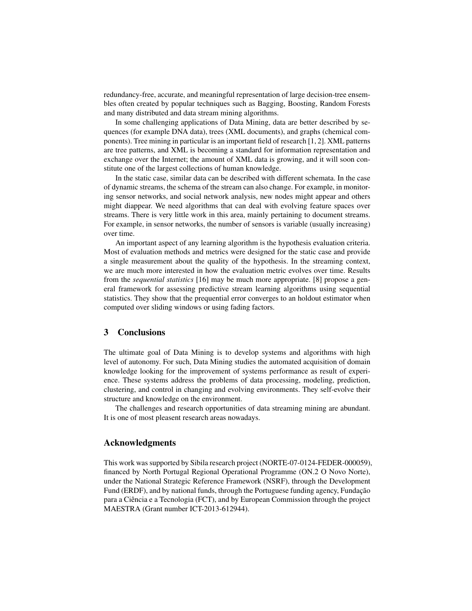redundancy-free, accurate, and meaningful representation of large decision-tree ensembles often created by popular techniques such as Bagging, Boosting, Random Forests and many distributed and data stream mining algorithms.

In some challenging applications of Data Mining, data are better described by sequences (for example DNA data), trees (XML documents), and graphs (chemical components). Tree mining in particular is an important field of research [1, 2]. XML patterns are tree patterns, and XML is becoming a standard for information representation and exchange over the Internet; the amount of XML data is growing, and it will soon constitute one of the largest collections of human knowledge.

In the static case, similar data can be described with different schemata. In the case of dynamic streams, the schema of the stream can also change. For example, in monitoring sensor networks, and social network analysis, new nodes might appear and others might diappear. We need algorithms that can deal with evolving feature spaces over streams. There is very little work in this area, mainly pertaining to document streams. For example, in sensor networks, the number of sensors is variable (usually increasing) over time.

An important aspect of any learning algorithm is the hypothesis evaluation criteria. Most of evaluation methods and metrics were designed for the static case and provide a single measurement about the quality of the hypothesis. In the streaming context, we are much more interested in how the evaluation metric evolves over time. Results from the *sequential statistics* [16] may be much more appropriate. [8] propose a general framework for assessing predictive stream learning algorithms using sequential statistics. They show that the prequential error converges to an holdout estimator when computed over sliding windows or using fading factors.

### 3 Conclusions

The ultimate goal of Data Mining is to develop systems and algorithms with high level of autonomy. For such, Data Mining studies the automated acquisition of domain knowledge looking for the improvement of systems performance as result of experience. These systems address the problems of data processing, modeling, prediction, clustering, and control in changing and evolving environments. They self-evolve their structure and knowledge on the environment.

The challenges and research opportunities of data streaming mining are abundant. It is one of most pleasent research areas nowadays.

### Acknowledgments

This work was supported by Sibila research project (NORTE-07-0124-FEDER-000059), financed by North Portugal Regional Operational Programme (ON.2 O Novo Norte), under the National Strategic Reference Framework (NSRF), through the Development Fund (ERDF), and by national funds, through the Portuguese funding agency, Fundação para a Ciência e a Tecnologia (FCT), and by European Commission through the project MAESTRA (Grant number ICT-2013-612944).